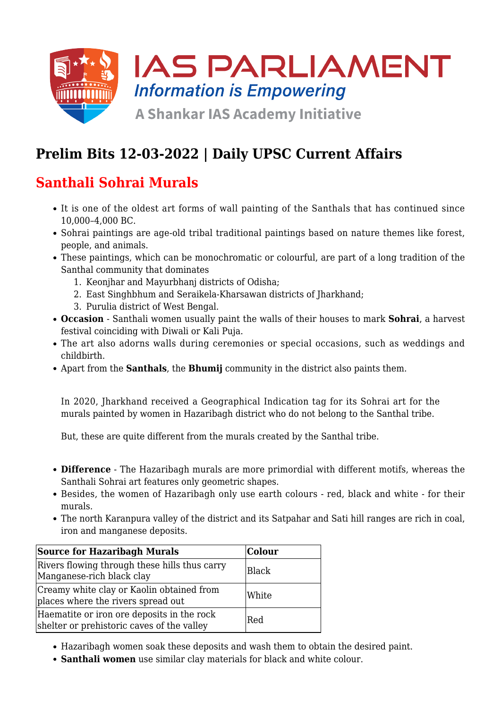

# **Prelim Bits 12-03-2022 | Daily UPSC Current Affairs**

## **Santhali Sohrai Murals**

- It is one of the oldest art forms of wall painting of the Santhals that has continued since 10,000–4,000 BC.
- Sohrai paintings are age-old tribal traditional paintings based on nature themes like forest, people, and animals.
- These paintings, which can be monochromatic or colourful, are part of a long tradition of the Santhal community that dominates
	- 1. Keonjhar and Mayurbhanj districts of Odisha;
	- 2. East Singhbhum and Seraikela-Kharsawan districts of Jharkhand;
	- 3. Purulia district of West Bengal.
- **Occasion** Santhali women usually paint the walls of their houses to mark **Sohrai**, a harvest festival coinciding with Diwali or Kali Puja.
- The art also adorns walls during ceremonies or special occasions, such as weddings and childbirth.
- Apart from the **Santhals**, the **Bhumij** community in the district also paints them.

In 2020, Jharkhand received a Geographical Indication tag for its Sohrai art for the murals painted by women in Hazaribagh district who do not belong to the Santhal tribe.

But, these are quite different from the murals created by the Santhal tribe.

- **Difference** The Hazaribagh murals are more primordial with different motifs, whereas the Santhali Sohrai art features only geometric shapes.
- Besides, the women of Hazaribagh only use earth colours red, black and white for their murals.
- The north Karanpura valley of the district and its Satpahar and Sati hill ranges are rich in coal, iron and manganese deposits.

| <b>Source for Hazaribagh Murals</b>                                                      | <b>Colour</b> |
|------------------------------------------------------------------------------------------|---------------|
| Rivers flowing through these hills thus carry<br>Manganese-rich black clay               | Black         |
| Creamy white clay or Kaolin obtained from<br>places where the rivers spread out          | White         |
| Haematite or iron ore deposits in the rock<br>shelter or prehistoric caves of the valley | <b>Red</b>    |

- Hazaribagh women soak these deposits and wash them to obtain the desired paint.
- **Santhali women** use similar clay materials for black and white colour.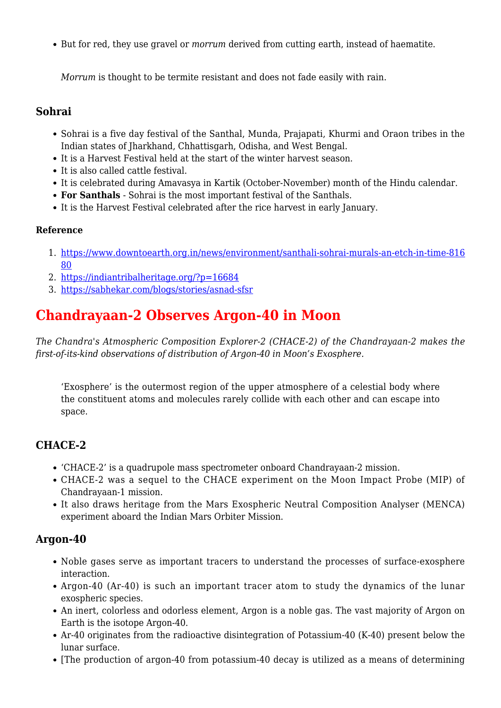But for red, they use gravel or *morrum* derived from cutting earth, instead of haematite.

*Morrum* is thought to be termite resistant and does not fade easily with rain.

#### **Sohrai**

- Sohrai is a five day festival of the Santhal, Munda, Prajapati, Khurmi and Oraon tribes in the Indian states of Jharkhand, Chhattisgarh, Odisha, and West Bengal.
- It is a Harvest Festival held at the start of the winter harvest season.
- It is also called cattle festival.
- It is celebrated during Amavasya in Kartik (October-November) month of the Hindu calendar.
- **For Santhals** Sohrai is the most important festival of the Santhals.
- It is the Harvest Festival celebrated after the rice harvest in early January.

#### **Reference**

- 1. [https://www.downtoearth.org.in/news/environment/santhali-sohrai-murals-an-etch-in-time-816](https://www.downtoearth.org.in/news/environment/santhali-sohrai-murals-an-etch-in-time-81680) [80](https://www.downtoearth.org.in/news/environment/santhali-sohrai-murals-an-etch-in-time-81680)
- 2. <https://indiantribalheritage.org/?p=16684>
- 3. <https://sabhekar.com/blogs/stories/asnad-sfsr>

### **Chandrayaan-2 Observes Argon-40 in Moon**

*The Chandra's Atmospheric Composition Explorer-2 (CHACE-2) of the Chandrayaan-2 makes the first-of-its-kind observations of distribution of Argon-40 in Moon's Exosphere.*

'Exosphere' is the outermost region of the upper atmosphere of a celestial body where the constituent atoms and molecules rarely collide with each other and can escape into space.

### **CHACE-2**

- 'CHACE-2' is a quadrupole mass spectrometer onboard Chandrayaan-2 mission.
- CHACE-2 was a sequel to the CHACE experiment on the Moon Impact Probe (MIP) of Chandrayaan-1 mission.
- It also draws heritage from the Mars Exospheric Neutral Composition Analyser (MENCA) experiment aboard the Indian Mars Orbiter Mission.

### **Argon-40**

- Noble gases serve as important tracers to understand the processes of surface-exosphere interaction.
- Argon-40 (Ar-40) is such an important tracer atom to study the dynamics of the lunar exospheric species.
- An inert, colorless and odorless element, Argon is a noble gas. The vast majority of Argon on Earth is the isotope Argon-40.
- Ar-40 originates from the radioactive disintegration of Potassium-40 (K-40) present below the lunar surface.
- [The production of argon-40 from potassium-40 decay is utilized as a means of determining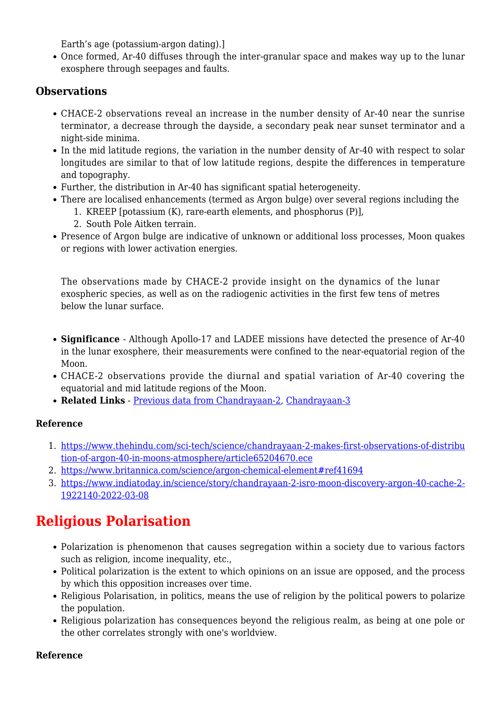Earth's age (potassium-argon dating).

Once formed, Ar-40 diffuses through the inter-granular space and makes way up to the lunar exosphere through seepages and faults.

#### **Observations**

- CHACE-2 observations reveal an increase in the number density of Ar-40 near the sunrise terminator, a decrease through the dayside, a secondary peak near sunset terminator and a night-side minima.
- In the mid latitude regions, the variation in the number density of Ar-40 with respect to solar longitudes are similar to that of low latitude regions, despite the differences in temperature and topography.
- Further, the distribution in Ar-40 has significant spatial heterogeneity.
- There are localised enhancements (termed as Argon bulge) over several regions including the
	- 1. KREEP [potassium (K), rare-earth elements, and phosphorus (P)],
	- 2. South Pole Aitken terrain.
- Presence of Argon bulge are indicative of unknown or additional loss processes, Moon quakes or regions with lower activation energies.

The observations made by CHACE-2 provide insight on the dynamics of the lunar exospheric species, as well as on the radiogenic activities in the first few tens of metres below the lunar surface.

- **Significance**  Although Apollo-17 and LADEE missions have detected the presence of Ar-40 in the lunar exosphere, their measurements were confined to the near-equatorial region of the Moon.
- CHACE-2 observations provide the diurnal and spatial variation of Ar-40 covering the equatorial and mid latitude regions of the Moon.
- **Related Links** - [Previous data from Chandrayaan-2,](https://www.iasparliament.com/current-affairs/prelim-bits-11-09-2021-upsc-daily-current-affairs) [Chandrayaan-3](https://www.iasparliament.com/current-affairs/upsc-daily-current-affairs-prelim-bits-27-02-2021)

#### **Reference**

- 1. [https://www.thehindu.com/sci-tech/science/chandrayaan-2-makes-first-observations-of-distribu](https://www.thehindu.com/sci-tech/science/chandrayaan-2-makes-first-observations-of-distribution-of-argon-40-in-moons-atmosphere/article65204670.ece) [tion-of-argon-40-in-moons-atmosphere/article65204670.ece](https://www.thehindu.com/sci-tech/science/chandrayaan-2-makes-first-observations-of-distribution-of-argon-40-in-moons-atmosphere/article65204670.ece)
- 2. <https://www.britannica.com/science/argon-chemical-element#ref41694>
- 3. [https://www.indiatoday.in/science/story/chandrayaan-2-isro-moon-discovery-argon-40-cache-2-](https://www.indiatoday.in/science/story/chandrayaan-2-isro-moon-discovery-argon-40-cache-2-1922140-2022-03-08) [1922140-2022-03-08](https://www.indiatoday.in/science/story/chandrayaan-2-isro-moon-discovery-argon-40-cache-2-1922140-2022-03-08)

## **Religious Polarisation**

- Polarization is phenomenon that causes segregation within a society due to various factors such as religion, income inequality, etc.,
- Political polarization is the extent to which opinions on an issue are opposed, and the process by which this opposition increases over time.
- Religious Polarisation, in politics, means the use of religion by the political powers to polarize the population.
- Religious polarization has consequences beyond the religious realm, as being at one pole or the other correlates strongly with one's worldview.

#### **Reference**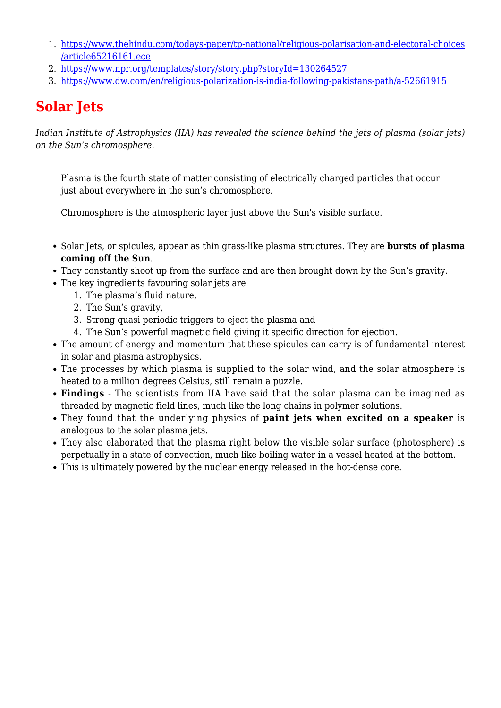- 1. [https://www.thehindu.com/todays-paper/tp-national/religious-polarisation-and-electoral-choices](https://www.thehindu.com/todays-paper/tp-national/religious-polarisation-and-electoral-choices/article65216161.ece) [/article65216161.ece](https://www.thehindu.com/todays-paper/tp-national/religious-polarisation-and-electoral-choices/article65216161.ece)
- 2. <https://www.npr.org/templates/story/story.php?storyId=130264527>
- 3. <https://www.dw.com/en/religious-polarization-is-india-following-pakistans-path/a-52661915>

# **Solar Jets**

*Indian Institute of Astrophysics (IIA) has revealed the science behind the jets of plasma (solar jets) on the Sun's chromosphere.*

Plasma is the fourth state of matter consisting of electrically charged particles that occur just about everywhere in the sun's chromosphere.

Chromosphere is the atmospheric layer just above the Sun's visible surface.

- Solar Jets, or spicules, appear as thin grass-like plasma structures. They are **bursts of plasma coming off the Sun**.
- They constantly shoot up from the surface and are then brought down by the Sun's gravity.
- The key ingredients favouring solar jets are
	- 1. The plasma's fluid nature,
	- 2. The Sun's gravity,
	- 3. Strong quasi periodic triggers to eject the plasma and
	- 4. The Sun's powerful magnetic field giving it specific direction for ejection.
- The amount of energy and momentum that these spicules can carry is of fundamental interest in solar and plasma astrophysics.
- The processes by which plasma is supplied to the solar wind, and the solar atmosphere is heated to a million degrees Celsius, still remain a puzzle.
- **Findings** The scientists from IIA have said that the solar plasma can be imagined as threaded by magnetic field lines, much like the long chains in polymer solutions.
- They found that the underlying physics of **paint jets when excited on a speaker** is analogous to the solar plasma jets.
- They also elaborated that the plasma right below the visible solar surface (photosphere) is perpetually in a state of convection, much like boiling water in a vessel heated at the bottom.
- This is ultimately powered by the nuclear energy released in the hot-dense core.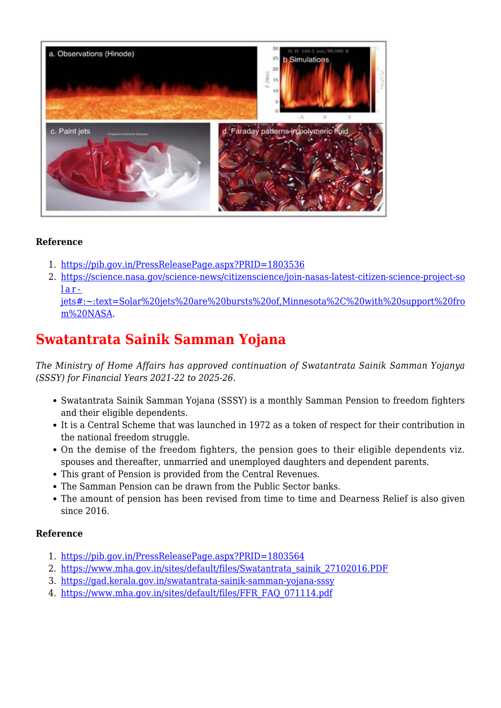

#### **Reference**

- 1. <https://pib.gov.in/PressReleasePage.aspx?PRID=1803536>
- 2. [https://science.nasa.gov/science-news/citizenscience/join-nasas-latest-citizen-science-project-so](https://science.nasa.gov/science-news/citizenscience/join-nasas-latest-citizen-science-project-solar-jets#:~:text=Solar%20jets%20are%20bursts%20of,Minnesota%2C%20with%20support%20from%20NASA) [lar-](https://science.nasa.gov/science-news/citizenscience/join-nasas-latest-citizen-science-project-solar-jets#:~:text=Solar%20jets%20are%20bursts%20of,Minnesota%2C%20with%20support%20from%20NASA)

[jets#:~:text=Solar%20jets%20are%20bursts%20of,Minnesota%2C%20with%20support%20fro](https://science.nasa.gov/science-news/citizenscience/join-nasas-latest-citizen-science-project-solar-jets#:~:text=Solar%20jets%20are%20bursts%20of,Minnesota%2C%20with%20support%20from%20NASA) [m%20NASA.](https://science.nasa.gov/science-news/citizenscience/join-nasas-latest-citizen-science-project-solar-jets#:~:text=Solar%20jets%20are%20bursts%20of,Minnesota%2C%20with%20support%20from%20NASA)

## **Swatantrata Sainik Samman Yojana**

*The Ministry of Home Affairs has approved continuation of Swatantrata Sainik Samman Yojanya (SSSY) for Financial Years 2021-22 to 2025-26.*

- Swatantrata Sainik Samman Yojana (SSSY) is a monthly Samman Pension to freedom fighters and their eligible dependents.
- It is a Central Scheme that was launched in 1972 as a token of respect for their contribution in the national freedom struggle.
- On the demise of the freedom fighters, the pension goes to their eligible dependents viz. spouses and thereafter, unmarried and unemployed daughters and dependent parents.
- This grant of Pension is provided from the Central Revenues.
- The Samman Pension can be drawn from the Public Sector banks.
- The amount of pension has been revised from time to time and Dearness Relief is also given since 2016.

#### **Reference**

- 1. <https://pib.gov.in/PressReleasePage.aspx?PRID=1803564>
- 2. [https://www.mha.gov.in/sites/default/files/Swatantrata\\_sainik\\_27102016.PDF](https://www.mha.gov.in/sites/default/files/Swatantrata_sainik_27102016.PDF)
- 3. <https://gad.kerala.gov.in/swatantrata-sainik-samman-yojana-sssy>
- 4. [https://www.mha.gov.in/sites/default/files/FFR\\_FAQ\\_071114.pdf](https://www.mha.gov.in/sites/default/files/FFR_FAQ_071114.pdf)